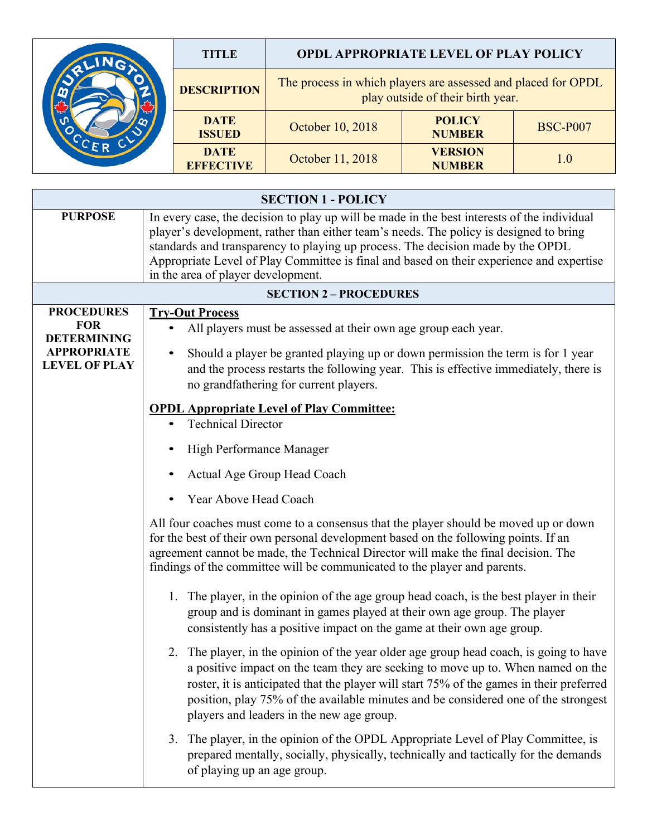|  | TITLE                           | <b>OPDL APPROPRIATE LEVEL OF PLAY POLICY</b>                                                       |                                 |                 |
|--|---------------------------------|----------------------------------------------------------------------------------------------------|---------------------------------|-----------------|
|  | <b>DESCRIPTION</b>              | The process in which players are assessed and placed for OPDL<br>play outside of their birth year. |                                 |                 |
|  | <b>DATE</b><br><b>ISSUED</b>    | October 10, 2018                                                                                   | <b>POLICY</b><br><b>NUMBER</b>  | <b>BSC-P007</b> |
|  | <b>DATE</b><br><b>EFFECTIVE</b> | October 11, 2018                                                                                   | <b>VERSION</b><br><b>NUMBER</b> | 1.0             |

| <b>SECTION 1 - POLICY</b>                                                                           |                                                                                                                                                                                                                                                                                                                                                                                                            |  |  |  |  |  |  |  |
|-----------------------------------------------------------------------------------------------------|------------------------------------------------------------------------------------------------------------------------------------------------------------------------------------------------------------------------------------------------------------------------------------------------------------------------------------------------------------------------------------------------------------|--|--|--|--|--|--|--|
| <b>PURPOSE</b>                                                                                      | In every case, the decision to play up will be made in the best interests of the individual<br>player's development, rather than either team's needs. The policy is designed to bring<br>standards and transparency to playing up process. The decision made by the OPDL<br>Appropriate Level of Play Committee is final and based on their experience and expertise<br>in the area of player development. |  |  |  |  |  |  |  |
| <b>SECTION 2 - PROCEDURES</b>                                                                       |                                                                                                                                                                                                                                                                                                                                                                                                            |  |  |  |  |  |  |  |
| <b>PROCEDURES</b><br><b>FOR</b><br><b>DETERMINING</b><br><b>APPROPRIATE</b><br><b>LEVEL OF PLAY</b> | <b>Try-Out Process</b><br>All players must be assessed at their own age group each year.<br>Should a player be granted playing up or down permission the term is for 1 year<br>and the process restarts the following year. This is effective immediately, there is<br>no grandfathering for current players.                                                                                              |  |  |  |  |  |  |  |
|                                                                                                     | <b>OPDL Appropriate Level of Play Committee:</b><br><b>Technical Director</b>                                                                                                                                                                                                                                                                                                                              |  |  |  |  |  |  |  |
|                                                                                                     | High Performance Manager                                                                                                                                                                                                                                                                                                                                                                                   |  |  |  |  |  |  |  |
|                                                                                                     | Actual Age Group Head Coach                                                                                                                                                                                                                                                                                                                                                                                |  |  |  |  |  |  |  |
|                                                                                                     | Year Above Head Coach                                                                                                                                                                                                                                                                                                                                                                                      |  |  |  |  |  |  |  |
|                                                                                                     | All four coaches must come to a consensus that the player should be moved up or down<br>for the best of their own personal development based on the following points. If an<br>agreement cannot be made, the Technical Director will make the final decision. The<br>findings of the committee will be communicated to the player and parents.                                                             |  |  |  |  |  |  |  |
|                                                                                                     | 1. The player, in the opinion of the age group head coach, is the best player in their<br>group and is dominant in games played at their own age group. The player<br>consistently has a positive impact on the game at their own age group.                                                                                                                                                               |  |  |  |  |  |  |  |
|                                                                                                     | 2. The player, in the opinion of the year older age group head coach, is going to have<br>a positive impact on the team they are seeking to move up to. When named on the<br>roster, it is anticipated that the player will start 75% of the games in their preferred<br>position, play 75% of the available minutes and be considered one of the strongest<br>players and leaders in the new age group.   |  |  |  |  |  |  |  |
|                                                                                                     | The player, in the opinion of the OPDL Appropriate Level of Play Committee, is<br>3.<br>prepared mentally, socially, physically, technically and tactically for the demands<br>of playing up an age group.                                                                                                                                                                                                 |  |  |  |  |  |  |  |